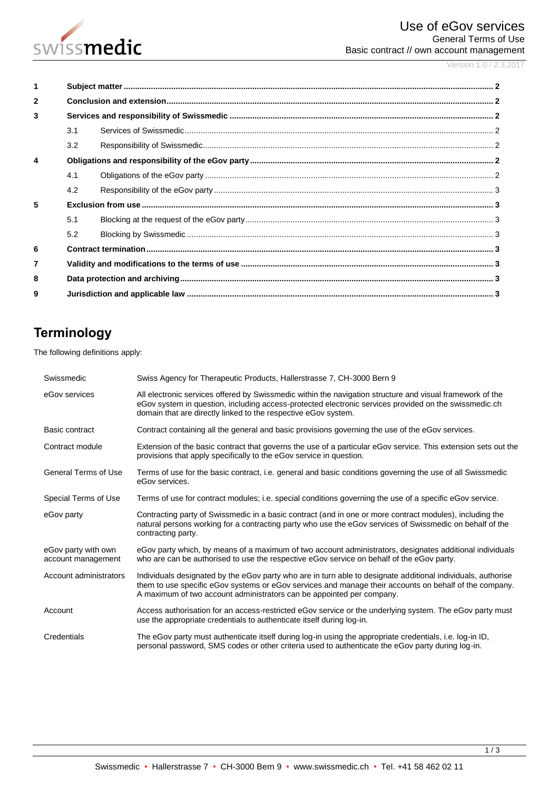

Version 1.0 / 2.3.2017

| 1                       |     |  |  |  |
|-------------------------|-----|--|--|--|
| $\overline{2}$          |     |  |  |  |
| 3                       |     |  |  |  |
|                         | 3.1 |  |  |  |
|                         | 3.2 |  |  |  |
| $\overline{\mathbf{A}}$ |     |  |  |  |
|                         | 4.1 |  |  |  |
|                         | 4.2 |  |  |  |
| 5                       |     |  |  |  |
|                         | 5.1 |  |  |  |
|                         | 5.2 |  |  |  |
| 6                       |     |  |  |  |
| $\overline{7}$          |     |  |  |  |
| 8                       |     |  |  |  |
| 9                       |     |  |  |  |

# **Terminology**

The following definitions apply:

| Swissmedic                                | Swiss Agency for Therapeutic Products, Hallerstrasse 7, CH-3000 Bern 9                                                                                                                                                                                                                          |
|-------------------------------------------|-------------------------------------------------------------------------------------------------------------------------------------------------------------------------------------------------------------------------------------------------------------------------------------------------|
| eGov services                             | All electronic services offered by Swissmedic within the navigation structure and visual framework of the<br>eGov system in question, including access-protected electronic services provided on the swissmedic.ch<br>domain that are directly linked to the respective eGov system.            |
| Basic contract                            | Contract containing all the general and basic provisions governing the use of the eGov services.                                                                                                                                                                                                |
| Contract module                           | Extension of the basic contract that governs the use of a particular eGov service. This extension sets out the<br>provisions that apply specifically to the eGov service in question.                                                                                                           |
| <b>General Terms of Use</b>               | Terms of use for the basic contract, i.e. general and basic conditions governing the use of all Swissmedic<br>eGov services.                                                                                                                                                                    |
| Special Terms of Use                      | Terms of use for contract modules; i.e. special conditions governing the use of a specific eGov service.                                                                                                                                                                                        |
| eGov party                                | Contracting party of Swissmedic in a basic contract (and in one or more contract modules), including the<br>natural persons working for a contracting party who use the eGov services of Swissmedic on behalf of the<br>contracting party.                                                      |
| eGov party with own<br>account management | eGov party which, by means of a maximum of two account administrators, designates additional individuals<br>who are can be authorised to use the respective eGov service on behalf of the eGov party.                                                                                           |
| Account administrators                    | Individuals designated by the eGov party who are in turn able to designate additional individuals, authorise<br>them to use specific eGov systems or eGov services and manage their accounts on behalf of the company.<br>A maximum of two account administrators can be appointed per company. |
| Account                                   | Access authorisation for an access-restricted eGov service or the underlying system. The eGov party must<br>use the appropriate credentials to authenticate itself during log-in.                                                                                                               |
| Credentials                               | The eGov party must authenticate itself during log-in using the appropriate credentials, i.e. log-in ID,<br>personal password, SMS codes or other criteria used to authenticate the eGov party during log-in.                                                                                   |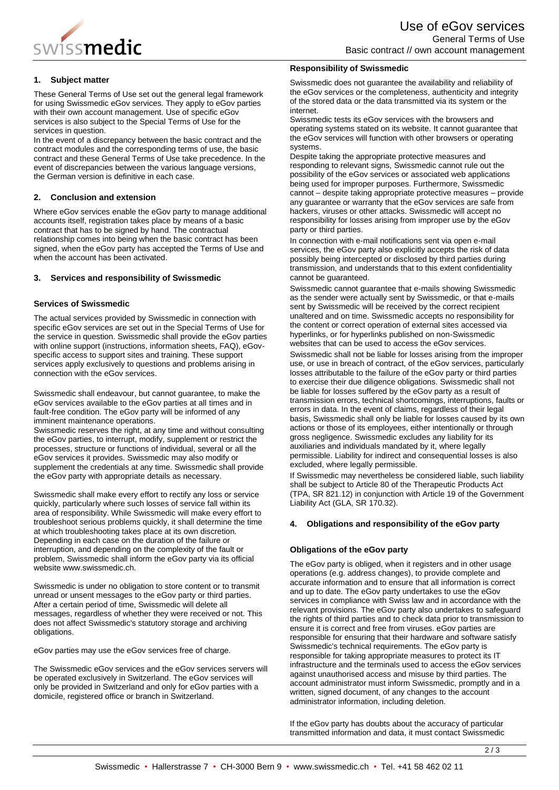

# **1. Subject matter**

These General Terms of Use set out the general legal framework for using Swissmedic eGov services. They apply to eGov parties with their own account management. Use of specific eGov services is also subject to the Special Terms of Use for the services in question.

In the event of a discrepancy between the basic contract and the contract modules and the corresponding terms of use, the basic contract and these General Terms of Use take precedence. In the event of discrepancies between the various language versions, the German version is definitive in each case.

## **2. Conclusion and extension**

Where eGov services enable the eGov party to manage additional accounts itself, registration takes place by means of a basic contract that has to be signed by hand. The contractual relationship comes into being when the basic contract has been signed, when the eGov party has accepted the Terms of Use and when the account has been activated.

### **3. Services and responsibility of Swissmedic**

## **Services of Swissmedic**

The actual services provided by Swissmedic in connection with specific eGov services are set out in the Special Terms of Use for the service in question. Swissmedic shall provide the eGov parties with online support (instructions, information sheets, FAQ), eGovspecific access to support sites and training. These support services apply exclusively to questions and problems arising in connection with the eGov services.

Swissmedic shall endeavour, but cannot guarantee, to make the eGov services available to the eGov parties at all times and in fault-free condition. The eGov party will be informed of any imminent maintenance operations.

Swissmedic reserves the right, at any time and without consulting the eGov parties, to interrupt, modify, supplement or restrict the processes, structure or functions of individual, several or all the eGov services it provides. Swissmedic may also modify or supplement the credentials at any time. Swissmedic shall provide the eGov party with appropriate details as necessary.

Swissmedic shall make every effort to rectify any loss or service quickly, particularly where such losses of service fall within its area of responsibility. While Swissmedic will make every effort to troubleshoot serious problems quickly, it shall determine the time at which troubleshooting takes place at its own discretion. Depending in each case on the duration of the failure or interruption, and depending on the complexity of the fault or problem, Swissmedic shall inform the eGov party via its official website www.swissmedic.ch.

Swissmedic is under no obligation to store content or to transmit unread or unsent messages to the eGov party or third parties. After a certain period of time, Swissmedic will delete all messages, regardless of whether they were received or not. This does not affect Swissmedic's statutory storage and archiving obligations.

eGov parties may use the eGov services free of charge.

The Swissmedic eGov services and the eGov services servers will be operated exclusively in Switzerland. The eGov services will only be provided in Switzerland and only for eGov parties with a domicile, registered office or branch in Switzerland.

### **Responsibility of Swissmedic**

Swissmedic does not guarantee the availability and reliability of the eGov services or the completeness, authenticity and integrity of the stored data or the data transmitted via its system or the internet.

Swissmedic tests its eGov services with the browsers and operating systems stated on its website. It cannot guarantee that the eGov services will function with other browsers or operating systems.

Despite taking the appropriate protective measures and responding to relevant signs, Swissmedic cannot rule out the possibility of the eGov services or associated web applications being used for improper purposes. Furthermore, Swissmedic cannot – despite taking appropriate protective measures – provide any guarantee or warranty that the eGov services are safe from hackers, viruses or other attacks. Swissmedic will accept no responsibility for losses arising from improper use by the eGov party or third parties.

In connection with e-mail notifications sent via open e-mail services, the eGov party also explicitly accepts the risk of data possibly being intercepted or disclosed by third parties during transmission, and understands that to this extent confidentiality cannot be guaranteed.

Swissmedic cannot guarantee that e-mails showing Swissmedic as the sender were actually sent by Swissmedic, or that e-mails sent by Swissmedic will be received by the correct recipient unaltered and on time. Swissmedic accepts no responsibility for the content or correct operation of external sites accessed via hyperlinks, or for hyperlinks published on non-Swissmedic websites that can be used to access the eGov services.

Swissmedic shall not be liable for losses arising from the improper use, or use in breach of contract, of the eGov services, particularly losses attributable to the failure of the eGov party or third parties to exercise their due diligence obligations. Swissmedic shall not be liable for losses suffered by the eGov party as a result of transmission errors, technical shortcomings, interruptions, faults or errors in data. In the event of claims, regardless of their legal basis, Swissmedic shall only be liable for losses caused by its own actions or those of its employees, either intentionally or through gross negligence. Swissmedic excludes any liability for its auxiliaries and individuals mandated by it, where legally permissible. Liability for indirect and consequential losses is also excluded, where legally permissible.

If Swissmedic may nevertheless be considered liable, such liability shall be subject to Article 80 of the Therapeutic Products Act (TPA, SR 821.12) in conjunction with Article 19 of the Government Liability Act (GLA, SR 170.32).

#### **4. Obligations and responsibility of the eGov party**

#### **Obligations of the eGov party**

The eGov party is obliged, when it registers and in other usage operations (e.g. address changes), to provide complete and accurate information and to ensure that all information is correct and up to date. The eGov party undertakes to use the eGov services in compliance with Swiss law and in accordance with the relevant provisions. The eGov party also undertakes to safeguard the rights of third parties and to check data prior to transmission to ensure it is correct and free from viruses. eGov parties are responsible for ensuring that their hardware and software satisfy Swissmedic's technical requirements. The eGov party is responsible for taking appropriate measures to protect its IT infrastructure and the terminals used to access the eGov services against unauthorised access and misuse by third parties. The account administrator must inform Swissmedic, promptly and in a written, signed document, of any changes to the account administrator information, including deletion.

If the eGov party has doubts about the accuracy of particular transmitted information and data, it must contact Swissmedic